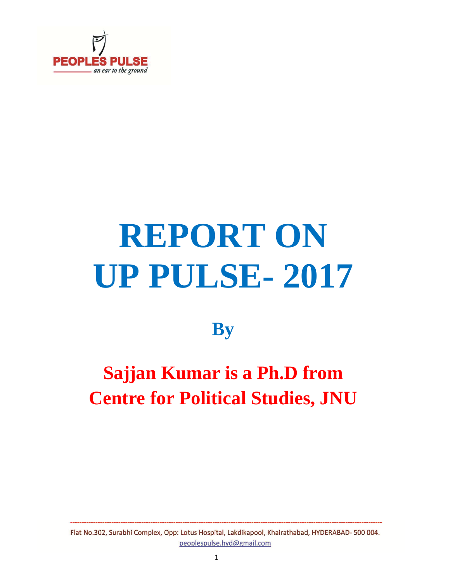

# **REPORT ON UP PULSE- 2017**

### **By**

# **Sajjan Kumar is a Ph.D from Centre for Political Studies, JNU**

Flat No.302, Surabhi Complex, Opp: Lotus Hospital, Lakdikapool, Khairathabad, HYDERABAD- 500 004. peoplespulse.hyd@gmail.com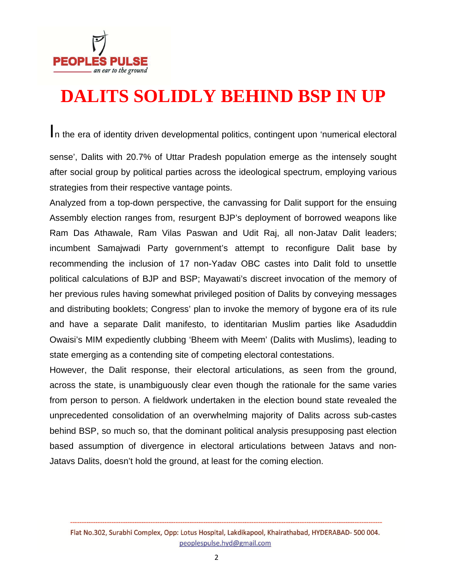

# **DALITS SOLIDLY BEHIND BSP IN UP**

In the era of identity driven developmental politics, contingent upon 'numerical electoral

sense', Dalits with 20.7% of Uttar Pradesh population emerge as the intensely sought after social group by political parties across the ideological spectrum, employing various strategies from their respective vantage points.

Analyzed from a top-down perspective, the canvassing for Dalit support for the ensuing Assembly election ranges from, resurgent BJP's deployment of borrowed weapons like Ram Das Athawale, Ram Vilas Paswan and Udit Raj, all non-Jatav Dalit leaders; incumbent Samajwadi Party government's attempt to reconfigure Dalit base by recommending the inclusion of 17 non-Yadav OBC castes into Dalit fold to unsettle political calculations of BJP and BSP; Mayawati's discreet invocation of the memory of her previous rules having somewhat privileged position of Dalits by conveying messages and distributing booklets; Congress' plan to invoke the memory of bygone era of its rule and have a separate Dalit manifesto, to identitarian Muslim parties like Asaduddin Owaisi's MIM expediently clubbing 'Bheem with Meem' (Dalits with Muslims), leading to state emerging as a contending site of competing electoral contestations.

However, the Dalit response, their electoral articulations, as seen from the ground, across the state, is unambiguously clear even though the rationale for the same varies from person to person. A fieldwork undertaken in the election bound state revealed the unprecedented consolidation of an overwhelming majority of Dalits across sub-castes behind BSP, so much so, that the dominant political analysis presupposing past election based assumption of divergence in electoral articulations between Jatavs and non-Jatavs Dalits, doesn't hold the ground, at least for the coming election.

Flat No.302, Surabhi Complex, Opp: Lotus Hospital, Lakdikapool, Khairathabad, HYDERABAD- 500 004. peoplespulse.hyd@gmail.com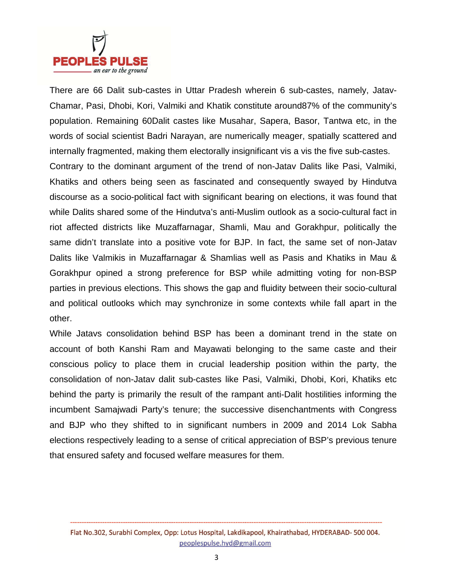

There are 66 Dalit sub-castes in Uttar Pradesh wherein 6 sub-castes, namely, Jatav-Chamar, Pasi, Dhobi, Kori, Valmiki and Khatik constitute around87% of the community's population. Remaining 60Dalit castes like Musahar, Sapera, Basor, Tantwa etc, in the words of social scientist Badri Narayan, are numerically meager, spatially scattered and internally fragmented, making them electorally insignificant vis a vis the five sub-castes.

Contrary to the dominant argument of the trend of non-Jatav Dalits like Pasi, Valmiki, Khatiks and others being seen as fascinated and consequently swayed by Hindutva discourse as a socio-political fact with significant bearing on elections, it was found that while Dalits shared some of the Hindutva's anti-Muslim outlook as a socio-cultural fact in riot affected districts like Muzaffarnagar, Shamli, Mau and Gorakhpur, politically the same didn't translate into a positive vote for BJP. In fact, the same set of non-Jatav Dalits like Valmikis in Muzaffarnagar & Shamlias well as Pasis and Khatiks in Mau & Gorakhpur opined a strong preference for BSP while admitting voting for non-BSP parties in previous elections. This shows the gap and fluidity between their socio-cultural and political outlooks which may synchronize in some contexts while fall apart in the other.

While Jatavs consolidation behind BSP has been a dominant trend in the state on account of both Kanshi Ram and Mayawati belonging to the same caste and their conscious policy to place them in crucial leadership position within the party, the consolidation of non-Jatav dalit sub-castes like Pasi, Valmiki, Dhobi, Kori, Khatiks etc behind the party is primarily the result of the rampant anti-Dalit hostilities informing the incumbent Samajwadi Party's tenure; the successive disenchantments with Congress and BJP who they shifted to in significant numbers in 2009 and 2014 Lok Sabha elections respectively leading to a sense of critical appreciation of BSP's previous tenure that ensured safety and focused welfare measures for them.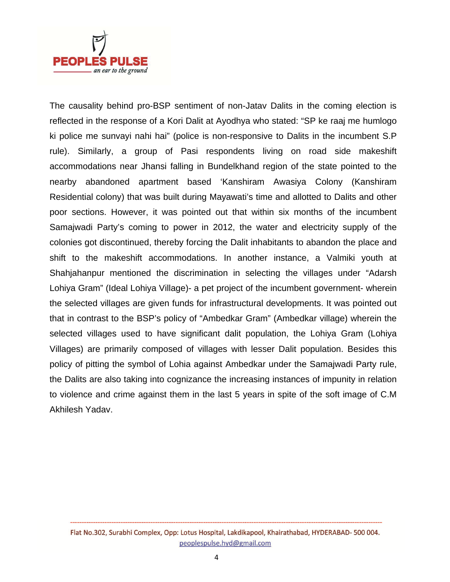

The causality behind pro-BSP sentiment of non-Jatav Dalits in the coming election is reflected in the response of a Kori Dalit at Ayodhya who stated: "SP ke raaj me humlogo ki police me sunvayi nahi hai" (police is non-responsive to Dalits in the incumbent S.P rule). Similarly, a group of Pasi respondents living on road side makeshift accommodations near Jhansi falling in Bundelkhand region of the state pointed to the nearby abandoned apartment based 'Kanshiram Awasiya Colony (Kanshiram Residential colony) that was built during Mayawati's time and allotted to Dalits and other poor sections. However, it was pointed out that within six months of the incumbent Samajwadi Party's coming to power in 2012, the water and electricity supply of the colonies got discontinued, thereby forcing the Dalit inhabitants to abandon the place and shift to the makeshift accommodations. In another instance, a Valmiki youth at Shahjahanpur mentioned the discrimination in selecting the villages under "Adarsh Lohiya Gram" (Ideal Lohiya Village)- a pet project of the incumbent government- wherein the selected villages are given funds for infrastructural developments. It was pointed out that in contrast to the BSP's policy of "Ambedkar Gram" (Ambedkar village) wherein the selected villages used to have significant dalit population, the Lohiya Gram (Lohiya Villages) are primarily composed of villages with lesser Dalit population. Besides this policy of pitting the symbol of Lohia against Ambedkar under the Samajwadi Party rule, the Dalits are also taking into cognizance the increasing instances of impunity in relation to violence and crime against them in the last 5 years in spite of the soft image of C.M Akhilesh Yadav.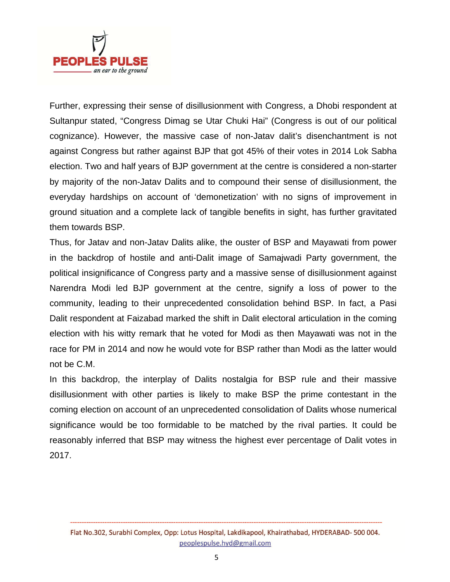

Further, expressing their sense of disillusionment with Congress, a Dhobi respondent at Sultanpur stated, "Congress Dimag se Utar Chuki Hai" (Congress is out of our political cognizance). However, the massive case of non-Jatav dalit's disenchantment is not against Congress but rather against BJP that got 45% of their votes in 2014 Lok Sabha election. Two and half years of BJP government at the centre is considered a non-starter by majority of the non-Jatav Dalits and to compound their sense of disillusionment, the everyday hardships on account of 'demonetization' with no signs of improvement in ground situation and a complete lack of tangible benefits in sight, has further gravitated them towards BSP.

Thus, for Jatav and non-Jatav Dalits alike, the ouster of BSP and Mayawati from power in the backdrop of hostile and anti-Dalit image of Samajwadi Party government, the political insignificance of Congress party and a massive sense of disillusionment against Narendra Modi led BJP government at the centre, signify a loss of power to the community, leading to their unprecedented consolidation behind BSP. In fact, a Pasi Dalit respondent at Faizabad marked the shift in Dalit electoral articulation in the coming election with his witty remark that he voted for Modi as then Mayawati was not in the race for PM in 2014 and now he would vote for BSP rather than Modi as the latter would not be C.M.

In this backdrop, the interplay of Dalits nostalgia for BSP rule and their massive disillusionment with other parties is likely to make BSP the prime contestant in the coming election on account of an unprecedented consolidation of Dalits whose numerical significance would be too formidable to be matched by the rival parties. It could be reasonably inferred that BSP may witness the highest ever percentage of Dalit votes in 2017.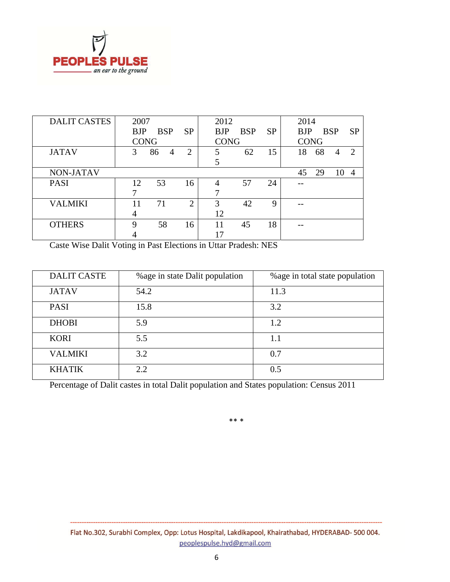

| <b>DALIT CASTES</b> | 2007        |            |                | 2012        |            |           | 2014        |    |            |                |
|---------------------|-------------|------------|----------------|-------------|------------|-----------|-------------|----|------------|----------------|
|                     | <b>BJP</b>  | <b>BSP</b> | <b>SP</b>      | <b>BJP</b>  | <b>BSP</b> | <b>SP</b> | <b>BJP</b>  |    | <b>BSP</b> | <b>SP</b>      |
|                     | <b>CONG</b> |            |                | <b>CONG</b> |            |           | <b>CONG</b> |    |            |                |
| <b>JATAV</b>        | 3           | 86<br>4    | $\overline{2}$ | 5           | 62         | 15        | 18          | 68 | 4          | 2              |
|                     |             |            |                | 5           |            |           |             |    |            |                |
| <b>NON-JATAV</b>    |             |            |                |             |            |           | 45          | 29 | 10         | $\overline{4}$ |
| <b>PASI</b>         | 12          | 53         | 16             |             | 57         | 24        |             |    |            |                |
|                     |             |            |                |             |            |           |             |    |            |                |
| <b>VALMIKI</b>      | 11          | 71         | $\overline{2}$ | 3           | 42         | 9         |             |    |            |                |
|                     | 4           |            |                | 12          |            |           |             |    |            |                |
| <b>OTHERS</b>       | 9           | 58         | 16             | 11          | 45         | 18        | --          |    |            |                |
|                     |             |            |                | 17          |            |           |             |    |            |                |

Caste Wise Dalit Voting in Past Elections in Uttar Pradesh: NES

| <b>DALIT CASTE</b> | % age in state Dalit population | % age in total state population |
|--------------------|---------------------------------|---------------------------------|
| <b>JATAV</b>       | 54.2                            | 11.3                            |
| <b>PASI</b>        | 15.8                            | 3.2                             |
| <b>DHOBI</b>       | 5.9                             | 1.2                             |
| <b>KORI</b>        | 5.5                             | 1.1                             |
| <b>VALMIKI</b>     | 3.2                             | 0.7                             |
| <b>KHATIK</b>      | 2.2                             | 0.5                             |

Percentage of Dalit castes in total Dalit population and States population: Census 2011

\*\* \*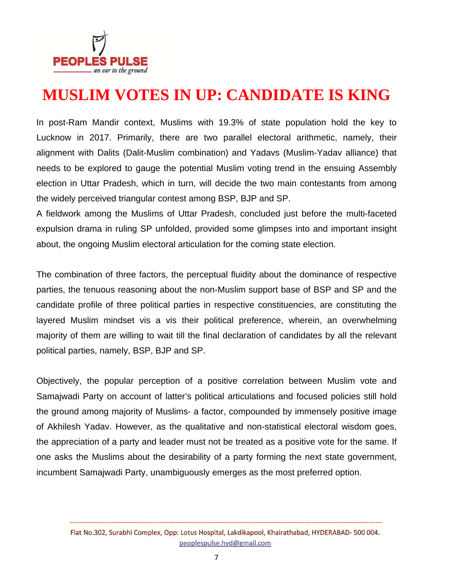

#### **MUSLIM VOTES IN UP: CANDIDATE IS KING**

In post-Ram Mandir context, Muslims with 19.3% of state population hold the key to Lucknow in 2017. Primarily, there are two parallel electoral arithmetic, namely, their alignment with Dalits (Dalit-Muslim combination) and Yadavs (Muslim-Yadav alliance) that needs to be explored to gauge the potential Muslim voting trend in the ensuing Assembly election in Uttar Pradesh, which in turn, will decide the two main contestants from among the widely perceived triangular contest among BSP, BJP and SP.

A fieldwork among the Muslims of Uttar Pradesh, concluded just before the multi-faceted expulsion drama in ruling SP unfolded, provided some glimpses into and important insight about, the ongoing Muslim electoral articulation for the coming state election.

The combination of three factors, the perceptual fluidity about the dominance of respective parties, the tenuous reasoning about the non-Muslim support base of BSP and SP and the candidate profile of three political parties in respective constituencies, are constituting the layered Muslim mindset vis a vis their political preference, wherein, an overwhelming majority of them are willing to wait till the final declaration of candidates by all the relevant political parties, namely, BSP, BJP and SP.

Objectively, the popular perception of a positive correlation between Muslim vote and Samajwadi Party on account of latter's political articulations and focused policies still hold the ground among majority of Muslims- a factor, compounded by immensely positive image of Akhilesh Yadav. However, as the qualitative and non-statistical electoral wisdom goes, the appreciation of a party and leader must not be treated as a positive vote for the same. If one asks the Muslims about the desirability of a party forming the next state government, incumbent Samajwadi Party, unambiguously emerges as the most preferred option.

Flat No.302, Surabhi Complex, Opp: Lotus Hospital, Lakdikapool, Khairathabad, HYDERABAD- 500 004. peoplespulse.hyd@gmail.com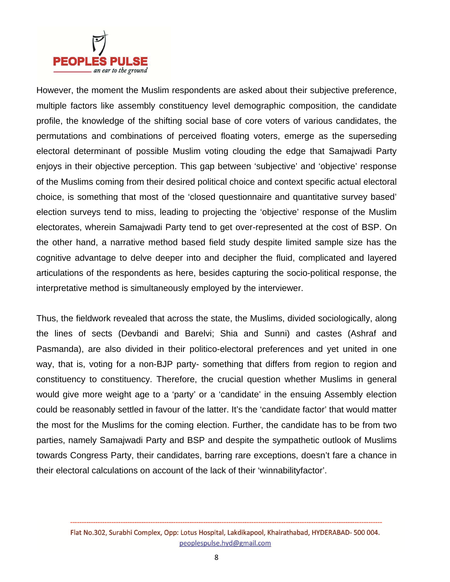

However, the moment the Muslim respondents are asked about their subjective preference, multiple factors like assembly constituency level demographic composition, the candidate profile, the knowledge of the shifting social base of core voters of various candidates, the permutations and combinations of perceived floating voters, emerge as the superseding electoral determinant of possible Muslim voting clouding the edge that Samajwadi Party enjoys in their objective perception. This gap between 'subjective' and 'objective' response of the Muslims coming from their desired political choice and context specific actual electoral choice, is something that most of the 'closed questionnaire and quantitative survey based' election surveys tend to miss, leading to projecting the 'objective' response of the Muslim electorates, wherein Samajwadi Party tend to get over-represented at the cost of BSP. On the other hand, a narrative method based field study despite limited sample size has the cognitive advantage to delve deeper into and decipher the fluid, complicated and layered articulations of the respondents as here, besides capturing the socio-political response, the interpretative method is simultaneously employed by the interviewer.

Thus, the fieldwork revealed that across the state, the Muslims, divided sociologically, along the lines of sects (Devbandi and Barelvi; Shia and Sunni) and castes (Ashraf and Pasmanda), are also divided in their politico-electoral preferences and yet united in one way, that is, voting for a non-BJP party- something that differs from region to region and constituency to constituency. Therefore, the crucial question whether Muslims in general would give more weight age to a 'party' or a 'candidate' in the ensuing Assembly election could be reasonably settled in favour of the latter. It's the 'candidate factor' that would matter the most for the Muslims for the coming election. Further, the candidate has to be from two parties, namely Samajwadi Party and BSP and despite the sympathetic outlook of Muslims towards Congress Party, their candidates, barring rare exceptions, doesn't fare a chance in their electoral calculations on account of the lack of their 'winnabilityfactor'.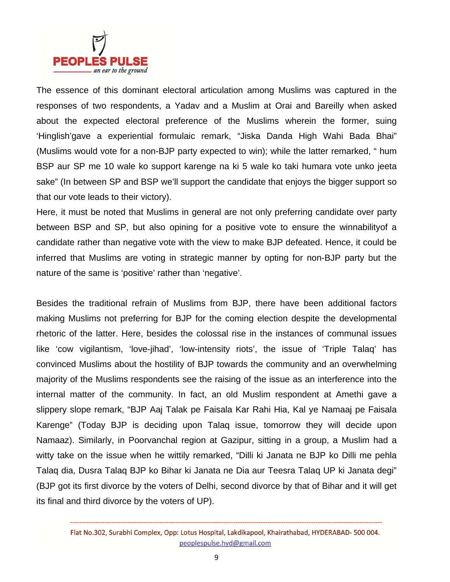

The essence of this dominant electoral articulation among Muslims was captured in the responses of two respondents, a Yadav and a Muslim at Orai and Bareilly when asked about the expected electoral preference of the Muslims wherein the former, suing 'Hinglish'gave a experiential formulaic remark, "Jiska Danda High Wahi Bada Bhai" (Muslims would vote for a non-BJP party expected to win); while the latter remarked, " hum BSP aur SP me 10 wale ko support karenge na ki 5 wale ko taki humara vote unko jeeta sake" (In between SP and BSP we'll support the candidate that enjoys the bigger support so that our vote leads to their victory).

Here, it must be noted that Muslims in general are not only preferring candidate over party between BSP and SP, but also opining for a positive vote to ensure the winnabilityof a candidate rather than negative vote with the view to make BJP defeated. Hence, it could be inferred that Muslims are voting in strategic manner by opting for non-BJP party but the nature of the same is 'positive' rather than 'negative'.

Besides the traditional refrain of Muslims from BJP, there have been additional factors making Muslims not preferring for BJP for the coming election despite the developmental rhetoric of the latter. Here, besides the colossal rise in the instances of communal issues like 'cow vigilantism, 'love-jihad', 'low-intensity riots', the issue of 'Triple Talaq' has convinced Muslims about the hostility of BJP towards the community and an overwhelming majority of the Muslims respondents see the raising of the issue as an interference into the internal matter of the community. In fact, an old Muslim respondent at Amethi gave a slippery slope remark, "BJP Aaj Talak pe Faisala Kar Rahi Hia, Kal ye Namaaj pe Faisala Karenge" (Today BJP is deciding upon Talaq issue, tomorrow they will decide upon Namaaz). Similarly, in Poorvanchal region at Gazipur, sitting in a group, a Muslim had a witty take on the issue when he wittily remarked, "Dilli ki Janata ne BJP ko Dilli me pehla Talaq dia, Dusra Talaq BJP ko Bihar ki Janata ne Dia aur Teesra Talaq UP ki Janata degi" (BJP got its first divorce by the voters of Delhi, second divorce by that of Bihar and it will get its final and third divorce by the voters of UP).

Flat No.302, Surabhi Complex, Opp: Lotus Hospital, Lakdikapool, Khairathabad, HYDERABAD-500 004. peoplespulse.hyd@gmail.com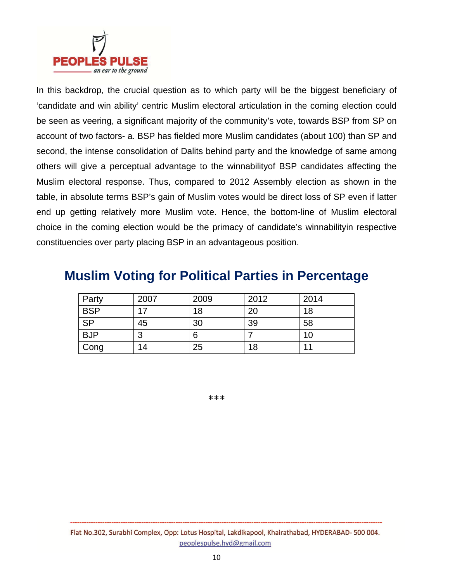

In this backdrop, the crucial question as to which party will be the biggest beneficiary of 'candidate and win ability' centric Muslim electoral articulation in the coming election could be seen as veering, a significant majority of the community's vote, towards BSP from SP on account of two factors- a. BSP has fielded more Muslim candidates (about 100) than SP and second, the intense consolidation of Dalits behind party and the knowledge of same among others will give a perceptual advantage to the winnabilityof BSP candidates affecting the Muslim electoral response. Thus, compared to 2012 Assembly election as shown in the table, in absolute terms BSP's gain of Muslim votes would be direct loss of SP even if latter end up getting relatively more Muslim vote. Hence, the bottom-line of Muslim electoral choice in the coming election would be the primacy of candidate's winnabilityin respective constituencies over party placing BSP in an advantageous position.

#### **Muslim Voting for Political Parties in Percentage**

| Party                  | 2007 | 2009 | 2012 | 2014 |
|------------------------|------|------|------|------|
| <b>BSP</b>             | 17   | 18   | 20   | 18   |
| $\overline{\text{SP}}$ | 45   | 30   | 39   | 58   |
| <b>BJP</b>             | 3    | 6    |      | 10   |
| Cong                   | 14   | 25   | 18   | 11   |

\*\*\*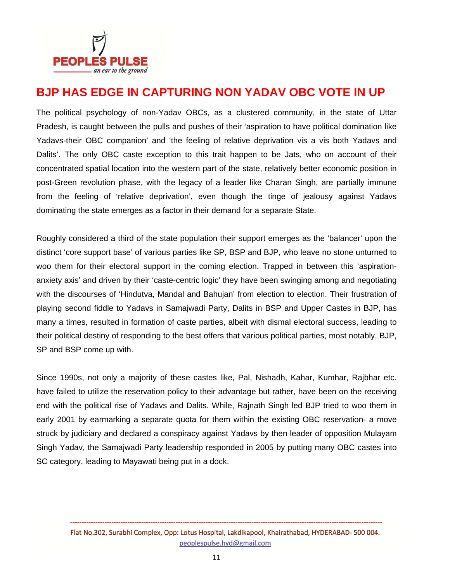

#### **BJP HAS EDGE IN CAPTURING NON YADAV OBC VOTE IN UP**

The political psychology of non-Yadav OBCs, as a clustered community, in the state of Uttar Pradesh, is caught between the pulls and pushes of their 'aspiration to have political domination like Yadavs-their OBC companion' and 'the feeling of relative deprivation vis a vis both Yadavs and Dalits'. The only OBC caste exception to this trait happen to be Jats, who on account of their concentrated spatial location into the western part of the state, relatively better economic position in post-Green revolution phase, with the legacy of a leader like Charan Singh, are partially immune from the feeling of 'relative deprivation', even though the tinge of jealousy against Yadavs dominating the state emerges as a factor in their demand for a separate State.

Roughly considered a third of the state population their support emerges as the 'balancer' upon the distinct 'core support base' of various parties like SP, BSP and BJP, who leave no stone unturned to woo them for their electoral support in the coming election. Trapped in between this 'aspirationanxiety axis' and driven by their 'caste-centric logic' they have been swinging among and negotiating with the discourses of 'Hindutva, Mandal and Bahujan' from election to election. Their frustration of playing second fiddle to Yadavs in Samajwadi Party, Dalits in BSP and Upper Castes in BJP, has many a times, resulted in formation of caste parties, albeit with dismal electoral success, leading to their political destiny of responding to the best offers that various political parties, most notably, BJP, SP and BSP come up with.

Since 1990s, not only a majority of these castes like, Pal, Nishadh, Kahar, Kumhar, Rajbhar etc. have failed to utilize the reservation policy to their advantage but rather, have been on the receiving end with the political rise of Yadavs and Dalits. While, Rajnath Singh led BJP tried to woo them in early 2001 by earmarking a separate quota for them within the existing OBC reservation- a move struck by judiciary and declared a conspiracy against Yadavs by then leader of opposition Mulayam Singh Yadav, the Samajwadi Party leadership responded in 2005 by putting many OBC castes into SC category, leading to Mayawati being put in a dock.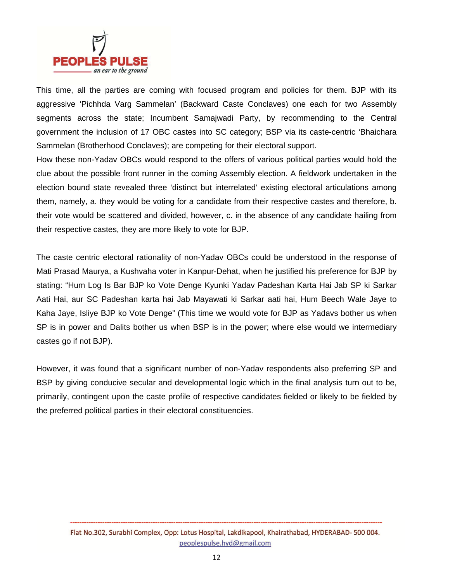

This time, all the parties are coming with focused program and policies for them. BJP with its aggressive 'Pichhda Varg Sammelan' (Backward Caste Conclaves) one each for two Assembly segments across the state; Incumbent Samajwadi Party, by recommending to the Central government the inclusion of 17 OBC castes into SC category; BSP via its caste-centric 'Bhaichara Sammelan (Brotherhood Conclaves); are competing for their electoral support.

How these non-Yadav OBCs would respond to the offers of various political parties would hold the clue about the possible front runner in the coming Assembly election. A fieldwork undertaken in the election bound state revealed three 'distinct but interrelated' existing electoral articulations among them, namely, a. they would be voting for a candidate from their respective castes and therefore, b. their vote would be scattered and divided, however, c. in the absence of any candidate hailing from their respective castes, they are more likely to vote for BJP.

The caste centric electoral rationality of non-Yadav OBCs could be understood in the response of Mati Prasad Maurya, a Kushvaha voter in Kanpur-Dehat, when he justified his preference for BJP by stating: "Hum Log Is Bar BJP ko Vote Denge Kyunki Yadav Padeshan Karta Hai Jab SP ki Sarkar Aati Hai, aur SC Padeshan karta hai Jab Mayawati ki Sarkar aati hai, Hum Beech Wale Jaye to Kaha Jaye, Isliye BJP ko Vote Denge" (This time we would vote for BJP as Yadavs bother us when SP is in power and Dalits bother us when BSP is in the power; where else would we intermediary castes go if not BJP).

However, it was found that a significant number of non-Yadav respondents also preferring SP and BSP by giving conducive secular and developmental logic which in the final analysis turn out to be, primarily, contingent upon the caste profile of respective candidates fielded or likely to be fielded by the preferred political parties in their electoral constituencies.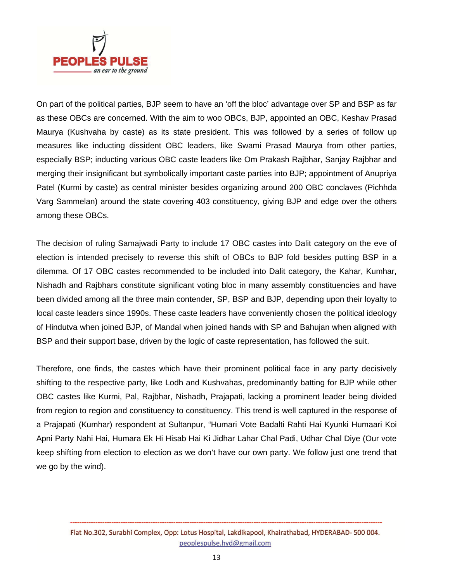

On part of the political parties, BJP seem to have an 'off the bloc' advantage over SP and BSP as far as these OBCs are concerned. With the aim to woo OBCs, BJP, appointed an OBC, Keshav Prasad Maurya (Kushvaha by caste) as its state president. This was followed by a series of follow up measures like inducting dissident OBC leaders, like Swami Prasad Maurya from other parties, especially BSP; inducting various OBC caste leaders like Om Prakash Rajbhar, Sanjay Rajbhar and merging their insignificant but symbolically important caste parties into BJP; appointment of Anupriya Patel (Kurmi by caste) as central minister besides organizing around 200 OBC conclaves (Pichhda Varg Sammelan) around the state covering 403 constituency, giving BJP and edge over the others among these OBCs.

The decision of ruling Samajwadi Party to include 17 OBC castes into Dalit category on the eve of election is intended precisely to reverse this shift of OBCs to BJP fold besides putting BSP in a dilemma. Of 17 OBC castes recommended to be included into Dalit category, the Kahar, Kumhar, Nishadh and Rajbhars constitute significant voting bloc in many assembly constituencies and have been divided among all the three main contender, SP, BSP and BJP, depending upon their loyalty to local caste leaders since 1990s. These caste leaders have conveniently chosen the political ideology of Hindutva when joined BJP, of Mandal when joined hands with SP and Bahujan when aligned with BSP and their support base, driven by the logic of caste representation, has followed the suit.

Therefore, one finds, the castes which have their prominent political face in any party decisively shifting to the respective party, like Lodh and Kushvahas, predominantly batting for BJP while other OBC castes like Kurmi, Pal, Rajbhar, Nishadh, Prajapati, lacking a prominent leader being divided from region to region and constituency to constituency. This trend is well captured in the response of a Prajapati (Kumhar) respondent at Sultanpur, "Humari Vote Badalti Rahti Hai Kyunki Humaari Koi Apni Party Nahi Hai, Humara Ek Hi Hisab Hai Ki Jidhar Lahar Chal Padi, Udhar Chal Diye (Our vote keep shifting from election to election as we don't have our own party. We follow just one trend that we go by the wind).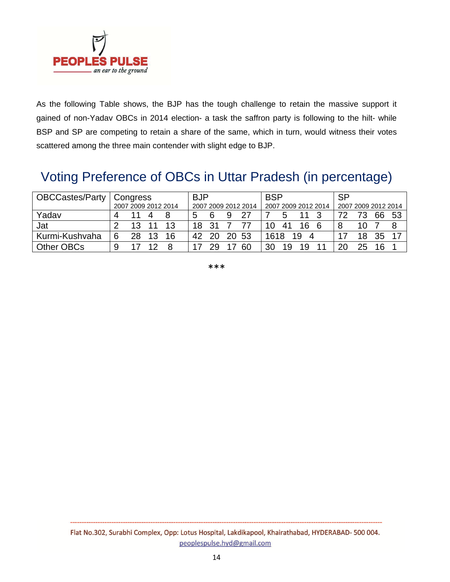

As the following Table shows, the BJP has the tough challenge to retain the massive support it gained of non-Yadav OBCs in 2014 election- a task the saffron party is following to the hilt- while BSP and SP are competing to retain a share of the same, which in turn, would witness their votes scattered among the three main contender with slight edge to BJP.

#### Voting Preference of OBCs in Uttar Pradesh (in percentage)

| <b>OBCCastes/Party   Congress</b> | 2007 2009 2012 2014 |    |    | <b>BJP</b><br>2007 2009 2012 2014 |    |     | <b>BSP</b><br>2007 2009 2012 2014 |       |      | <b>SP</b><br>2007 2009 2012 2014 |         |    |    |    |     |     |
|-----------------------------------|---------------------|----|----|-----------------------------------|----|-----|-----------------------------------|-------|------|----------------------------------|---------|----|----|----|-----|-----|
| Yadav                             | 4                   |    |    |                                   | 5  |     | Q                                 | 27    |      |                                  |         |    |    |    | 66  | -53 |
| Jat                               |                     |    |    |                                   | 18 |     |                                   |       | 10   | 41                               | 16      |    |    | 10 |     |     |
| Kurmi-Kushvaha                    | 6                   | 28 | 13 | 16                                | 42 | 20. |                                   | 20 53 | 1618 |                                  | 19<br>Δ |    |    | 18 | 35  |     |
| Other OBCs                        | 9                   |    |    |                                   |    | 29  |                                   | 60    | 30   | 19                               | 1 Q     | 44 | 20 | 25 | 16. |     |

\*\*\*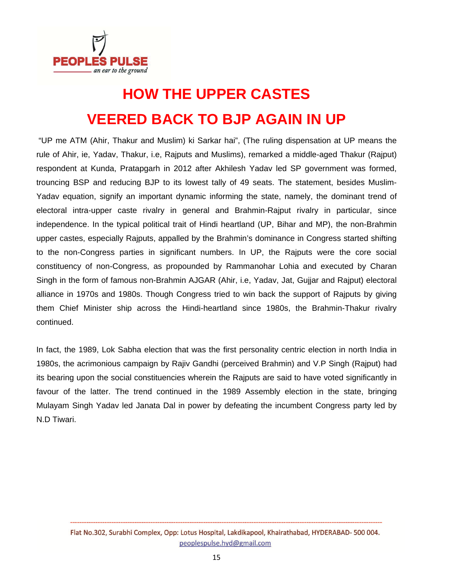

# **HOW THE UPPER CASTES VEERED BACK TO BJP AGAIN IN UP**

 "UP me ATM (Ahir, Thakur and Muslim) ki Sarkar hai", (The ruling dispensation at UP means the rule of Ahir, ie, Yadav, Thakur, i.e, Rajputs and Muslims), remarked a middle-aged Thakur (Rajput) respondent at Kunda, Pratapgarh in 2012 after Akhilesh Yadav led SP government was formed, trouncing BSP and reducing BJP to its lowest tally of 49 seats. The statement, besides Muslim-Yadav equation, signify an important dynamic informing the state, namely, the dominant trend of electoral intra-upper caste rivalry in general and Brahmin-Rajput rivalry in particular, since independence. In the typical political trait of Hindi heartland (UP, Bihar and MP), the non-Brahmin upper castes, especially Rajputs, appalled by the Brahmin's dominance in Congress started shifting to the non-Congress parties in significant numbers. In UP, the Rajputs were the core social constituency of non-Congress, as propounded by Rammanohar Lohia and executed by Charan Singh in the form of famous non-Brahmin AJGAR (Ahir, i.e, Yadav, Jat, Gujjar and Rajput) electoral alliance in 1970s and 1980s. Though Congress tried to win back the support of Rajputs by giving them Chief Minister ship across the Hindi-heartland since 1980s, the Brahmin-Thakur rivalry continued.

In fact, the 1989, Lok Sabha election that was the first personality centric election in north India in 1980s, the acrimonious campaign by Rajiv Gandhi (perceived Brahmin) and V.P Singh (Rajput) had its bearing upon the social constituencies wherein the Rajputs are said to have voted significantly in favour of the latter. The trend continued in the 1989 Assembly election in the state, bringing Mulayam Singh Yadav led Janata Dal in power by defeating the incumbent Congress party led by N.D Tiwari.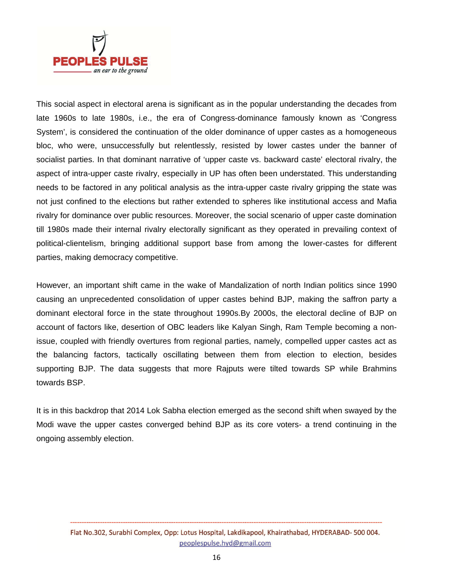

This social aspect in electoral arena is significant as in the popular understanding the decades from late 1960s to late 1980s, i.e., the era of Congress-dominance famously known as 'Congress System', is considered the continuation of the older dominance of upper castes as a homogeneous bloc, who were, unsuccessfully but relentlessly, resisted by lower castes under the banner of socialist parties. In that dominant narrative of 'upper caste vs. backward caste' electoral rivalry, the aspect of intra-upper caste rivalry, especially in UP has often been understated. This understanding needs to be factored in any political analysis as the intra-upper caste rivalry gripping the state was not just confined to the elections but rather extended to spheres like institutional access and Mafia rivalry for dominance over public resources. Moreover, the social scenario of upper caste domination till 1980s made their internal rivalry electorally significant as they operated in prevailing context of political-clientelism, bringing additional support base from among the lower-castes for different parties, making democracy competitive.

However, an important shift came in the wake of Mandalization of north Indian politics since 1990 causing an unprecedented consolidation of upper castes behind BJP, making the saffron party a dominant electoral force in the state throughout 1990s.By 2000s, the electoral decline of BJP on account of factors like, desertion of OBC leaders like Kalyan Singh, Ram Temple becoming a nonissue, coupled with friendly overtures from regional parties, namely, compelled upper castes act as the balancing factors, tactically oscillating between them from election to election, besides supporting BJP. The data suggests that more Rajputs were tilted towards SP while Brahmins towards BSP.

It is in this backdrop that 2014 Lok Sabha election emerged as the second shift when swayed by the Modi wave the upper castes converged behind BJP as its core voters- a trend continuing in the ongoing assembly election.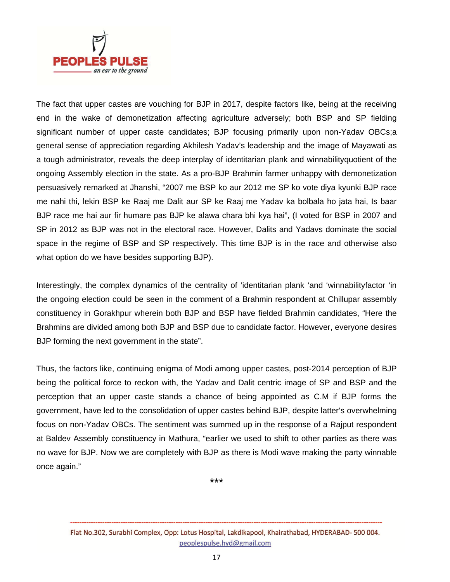

The fact that upper castes are vouching for BJP in 2017, despite factors like, being at the receiving end in the wake of demonetization affecting agriculture adversely; both BSP and SP fielding significant number of upper caste candidates; BJP focusing primarily upon non-Yadav OBCs;a general sense of appreciation regarding Akhilesh Yadav's leadership and the image of Mayawati as a tough administrator, reveals the deep interplay of identitarian plank and winnabilityquotient of the ongoing Assembly election in the state. As a pro-BJP Brahmin farmer unhappy with demonetization persuasively remarked at Jhanshi, "2007 me BSP ko aur 2012 me SP ko vote diya kyunki BJP race me nahi thi, lekin BSP ke Raaj me Dalit aur SP ke Raaj me Yadav ka bolbala ho jata hai, Is baar BJP race me hai aur fir humare pas BJP ke alawa chara bhi kya hai", (I voted for BSP in 2007 and SP in 2012 as BJP was not in the electoral race. However, Dalits and Yadavs dominate the social space in the regime of BSP and SP respectively. This time BJP is in the race and otherwise also what option do we have besides supporting BJP).

Interestingly, the complex dynamics of the centrality of 'identitarian plank 'and 'winnabilityfactor 'in the ongoing election could be seen in the comment of a Brahmin respondent at Chillupar assembly constituency in Gorakhpur wherein both BJP and BSP have fielded Brahmin candidates, "Here the Brahmins are divided among both BJP and BSP due to candidate factor. However, everyone desires BJP forming the next government in the state".

Thus, the factors like, continuing enigma of Modi among upper castes, post-2014 perception of BJP being the political force to reckon with, the Yadav and Dalit centric image of SP and BSP and the perception that an upper caste stands a chance of being appointed as C.M if BJP forms the government, have led to the consolidation of upper castes behind BJP, despite latter's overwhelming focus on non-Yadav OBCs. The sentiment was summed up in the response of a Rajput respondent at Baldev Assembly constituency in Mathura, "earlier we used to shift to other parties as there was no wave for BJP. Now we are completely with BJP as there is Modi wave making the party winnable once again."

\*\*\*

Flat No.302, Surabhi Complex, Opp: Lotus Hospital, Lakdikapool, Khairathabad, HYDERABAD- 500 004. peoplespulse.hyd@gmail.com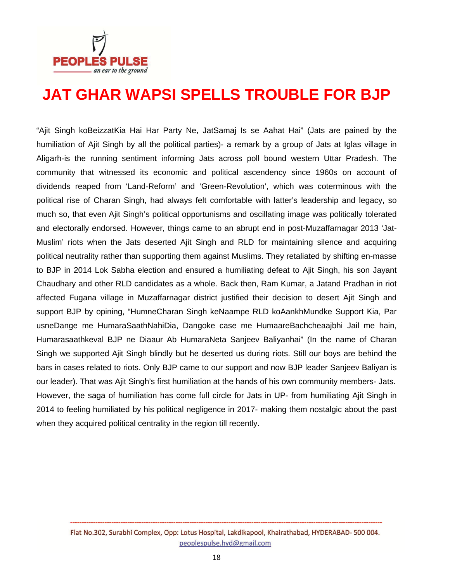

### **JAT GHAR WAPSI SPELLS TROUBLE FOR BJP**

"Ajit Singh koBeizzatKia Hai Har Party Ne, JatSamaj Is se Aahat Hai" (Jats are pained by the humiliation of Ajit Singh by all the political parties)- a remark by a group of Jats at Iglas village in Aligarh-is the running sentiment informing Jats across poll bound western Uttar Pradesh. The community that witnessed its economic and political ascendency since 1960s on account of dividends reaped from 'Land-Reform' and 'Green-Revolution', which was coterminous with the political rise of Charan Singh, had always felt comfortable with latter's leadership and legacy, so much so, that even Ajit Singh's political opportunisms and oscillating image was politically tolerated and electorally endorsed. However, things came to an abrupt end in post-Muzaffarnagar 2013 'Jat-Muslim' riots when the Jats deserted Ajit Singh and RLD for maintaining silence and acquiring political neutrality rather than supporting them against Muslims. They retaliated by shifting en-masse to BJP in 2014 Lok Sabha election and ensured a humiliating defeat to Ajit Singh, his son Jayant Chaudhary and other RLD candidates as a whole. Back then, Ram Kumar, a Jatand Pradhan in riot affected Fugana village in Muzaffarnagar district justified their decision to desert Ajit Singh and support BJP by opining, "HumneCharan Singh keNaampe RLD koAankhMundke Support Kia, Par usneDange me HumaraSaathNahiDia, Dangoke case me HumaareBachcheaajbhi Jail me hain, Humarasaathkeval BJP ne Diaaur Ab HumaraNeta Sanjeev Baliyanhai" (In the name of Charan Singh we supported Ajit Singh blindly but he deserted us during riots. Still our boys are behind the bars in cases related to riots. Only BJP came to our support and now BJP leader Sanjeev Baliyan is our leader). That was Ajit Singh's first humiliation at the hands of his own community members- Jats. However, the saga of humiliation has come full circle for Jats in UP- from humiliating Ajit Singh in 2014 to feeling humiliated by his political negligence in 2017- making them nostalgic about the past when they acquired political centrality in the region till recently.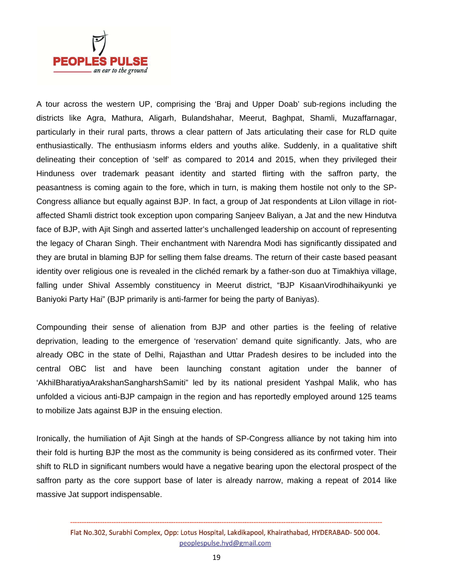

A tour across the western UP, comprising the 'Braj and Upper Doab' sub-regions including the districts like Agra, Mathura, Aligarh, Bulandshahar, Meerut, Baghpat, Shamli, Muzaffarnagar, particularly in their rural parts, throws a clear pattern of Jats articulating their case for RLD quite enthusiastically. The enthusiasm informs elders and youths alike. Suddenly, in a qualitative shift delineating their conception of 'self' as compared to 2014 and 2015, when they privileged their Hinduness over trademark peasant identity and started flirting with the saffron party, the peasantness is coming again to the fore, which in turn, is making them hostile not only to the SP-Congress alliance but equally against BJP. In fact, a group of Jat respondents at Lilon village in riotaffected Shamli district took exception upon comparing Sanjeev Baliyan, a Jat and the new Hindutva face of BJP, with Ajit Singh and asserted latter's unchallenged leadership on account of representing the legacy of Charan Singh. Their enchantment with Narendra Modi has significantly dissipated and they are brutal in blaming BJP for selling them false dreams. The return of their caste based peasant identity over religious one is revealed in the clichéd remark by a father-son duo at Timakhiya village, falling under Shival Assembly constituency in Meerut district, "BJP KisaanVirodhihaikyunki ye Baniyoki Party Hai" (BJP primarily is anti-farmer for being the party of Baniyas).

Compounding their sense of alienation from BJP and other parties is the feeling of relative deprivation, leading to the emergence of 'reservation' demand quite significantly. Jats, who are already OBC in the state of Delhi, Rajasthan and Uttar Pradesh desires to be included into the central OBC list and have been launching constant agitation under the banner of 'AkhilBharatiyaArakshanSangharshSamiti" led by its national president Yashpal Malik, who has unfolded a vicious anti-BJP campaign in the region and has reportedly employed around 125 teams to mobilize Jats against BJP in the ensuing election.

Ironically, the humiliation of Ajit Singh at the hands of SP-Congress alliance by not taking him into their fold is hurting BJP the most as the community is being considered as its confirmed voter. Their shift to RLD in significant numbers would have a negative bearing upon the electoral prospect of the saffron party as the core support base of later is already narrow, making a repeat of 2014 like massive Jat support indispensable.

Flat No.302, Surabhi Complex, Opp: Lotus Hospital, Lakdikapool, Khairathabad, HYDERABAD-500 004. peoplespulse.hyd@gmail.com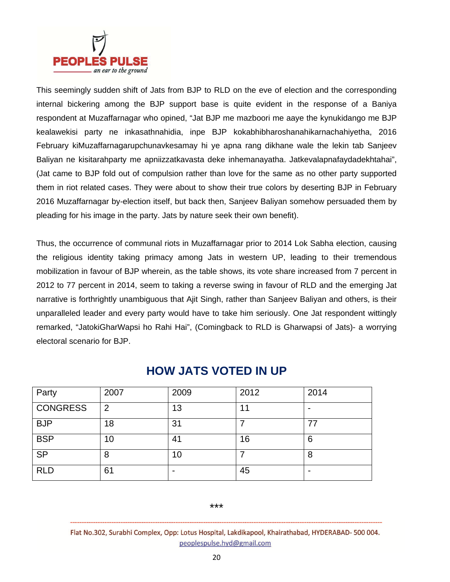

This seemingly sudden shift of Jats from BJP to RLD on the eve of election and the corresponding internal bickering among the BJP support base is quite evident in the response of a Baniya respondent at Muzaffarnagar who opined, "Jat BJP me mazboori me aaye the kynukidango me BJP kealawekisi party ne inkasathnahidia, inpe BJP kokabhibharoshanahikarnachahiyetha, 2016 February kiMuzaffarnagarupchunavkesamay hi ye apna rang dikhane wale the lekin tab Sanjeev Baliyan ne kisitarahparty me apniizzatkavasta deke inhemanayatha. Jatkevalapnafaydadekhtahai", (Jat came to BJP fold out of compulsion rather than love for the same as no other party supported them in riot related cases. They were about to show their true colors by deserting BJP in February 2016 Muzaffarnagar by-election itself, but back then, Sanjeev Baliyan somehow persuaded them by pleading for his image in the party. Jats by nature seek their own benefit).

Thus, the occurrence of communal riots in Muzaffarnagar prior to 2014 Lok Sabha election, causing the religious identity taking primacy among Jats in western UP, leading to their tremendous mobilization in favour of BJP wherein, as the table shows, its vote share increased from 7 percent in 2012 to 77 percent in 2014, seem to taking a reverse swing in favour of RLD and the emerging Jat narrative is forthrightly unambiguous that Ajit Singh, rather than Sanjeev Baliyan and others, is their unparalleled leader and every party would have to take him seriously. One Jat respondent wittingly remarked, "JatokiGharWapsi ho Rahi Hai", (Comingback to RLD is Gharwapsi of Jats)- a worrying electoral scenario for BJP.

| Party           | 2007           | 2009 | 2012 | 2014 |
|-----------------|----------------|------|------|------|
| <b>CONGRESS</b> | $\overline{2}$ | 13   | 11   |      |
| <b>BJP</b>      | 18             | 31   |      | 77   |
| <b>BSP</b>      | 10             | 41   | 16   | 6    |
| <b>SP</b>       | 8              | 10   |      | 8    |
| <b>RLD</b>      | 61             |      | 45   |      |

#### **HOW JATS VOTED IN UP**

#### \*\*\*

Flat No.302, Surabhi Complex, Opp: Lotus Hospital, Lakdikapool, Khairathabad, HYDERABAD- 500 004. peoplespulse.hyd@gmail.com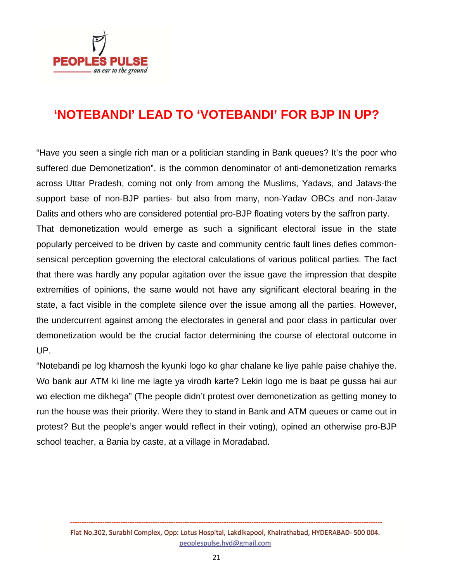

#### **'NOTEBANDI' LEAD TO 'VOTEBANDI' FOR BJP IN UP?**

"Have you seen a single rich man or a politician standing in Bank queues? It's the poor who suffered due Demonetization", is the common denominator of anti-demonetization remarks across Uttar Pradesh, coming not only from among the Muslims, Yadavs, and Jatavs-the support base of non-BJP parties- but also from many, non-Yadav OBCs and non-Jatav Dalits and others who are considered potential pro-BJP floating voters by the saffron party. That demonetization would emerge as such a significant electoral issue in the state popularly perceived to be driven by caste and community centric fault lines defies commonsensical perception governing the electoral calculations of various political parties. The fact that there was hardly any popular agitation over the issue gave the impression that despite extremities of opinions, the same would not have any significant electoral bearing in the state, a fact visible in the complete silence over the issue among all the parties. However, the undercurrent against among the electorates in general and poor class in particular over demonetization would be the crucial factor determining the course of electoral outcome in UP.

"Notebandi pe log khamosh the kyunki logo ko ghar chalane ke liye pahle paise chahiye the. Wo bank aur ATM ki line me lagte ya virodh karte? Lekin logo me is baat pe gussa hai aur wo election me dikhega" (The people didn't protest over demonetization as getting money to run the house was their priority. Were they to stand in Bank and ATM queues or came out in protest? But the people's anger would reflect in their voting), opined an otherwise pro-BJP school teacher, a Bania by caste, at a village in Moradabad.

Flat No.302, Surabhi Complex, Opp: Lotus Hospital, Lakdikapool, Khairathabad, HYDERABAD- 500 004. peoplespulse.hyd@gmail.com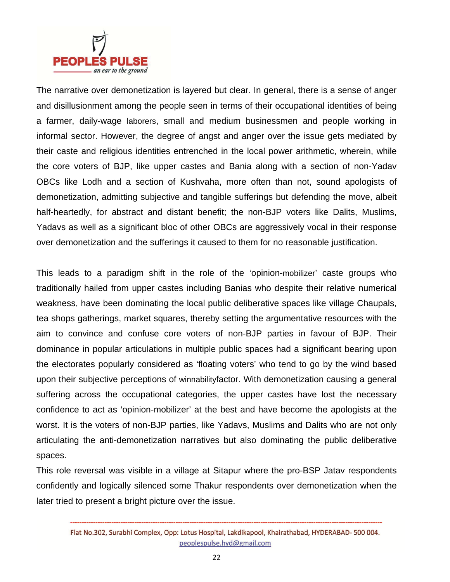

The narrative over demonetization is layered but clear. In general, there is a sense of anger and disillusionment among the people seen in terms of their occupational identities of being a farmer, daily-wage laborers, small and medium businessmen and people working in informal sector. However, the degree of angst and anger over the issue gets mediated by their caste and religious identities entrenched in the local power arithmetic, wherein, while the core voters of BJP, like upper castes and Bania along with a section of non-Yadav OBCs like Lodh and a section of Kushvaha, more often than not, sound apologists of demonetization, admitting subjective and tangible sufferings but defending the move, albeit half-heartedly, for abstract and distant benefit; the non-BJP voters like Dalits, Muslims, Yadavs as well as a significant bloc of other OBCs are aggressively vocal in their response over demonetization and the sufferings it caused to them for no reasonable justification.

This leads to a paradigm shift in the role of the 'opinion-mobilizer' caste groups who traditionally hailed from upper castes including Banias who despite their relative numerical weakness, have been dominating the local public deliberative spaces like village Chaupals, tea shops gatherings, market squares, thereby setting the argumentative resources with the aim to convince and confuse core voters of non-BJP parties in favour of BJP. Their dominance in popular articulations in multiple public spaces had a significant bearing upon the electorates popularly considered as 'floating voters' who tend to go by the wind based upon their subjective perceptions of winnabilityfactor. With demonetization causing a general suffering across the occupational categories, the upper castes have lost the necessary confidence to act as 'opinion-mobilizer' at the best and have become the apologists at the worst. It is the voters of non-BJP parties, like Yadavs, Muslims and Dalits who are not only articulating the anti-demonetization narratives but also dominating the public deliberative spaces.

This role reversal was visible in a village at Sitapur where the pro-BSP Jatav respondents confidently and logically silenced some Thakur respondents over demonetization when the later tried to present a bright picture over the issue.

Flat No.302, Surabhi Complex, Opp: Lotus Hospital, Lakdikapool, Khairathabad, HYDERABAD-500 004. peoplespulse.hyd@gmail.com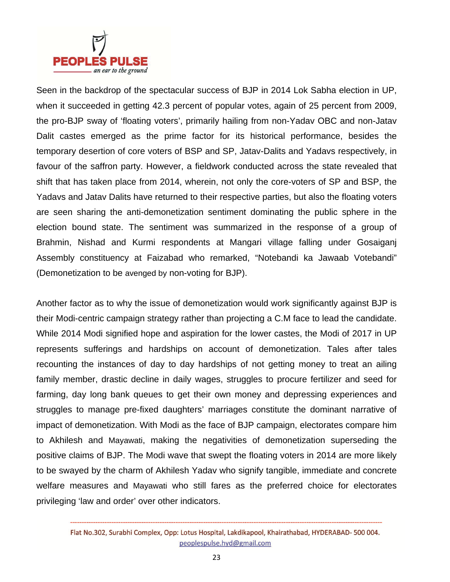

Seen in the backdrop of the spectacular success of BJP in 2014 Lok Sabha election in UP, when it succeeded in getting 42.3 percent of popular votes, again of 25 percent from 2009, the pro-BJP sway of 'floating voters', primarily hailing from non-Yadav OBC and non-Jatav Dalit castes emerged as the prime factor for its historical performance, besides the temporary desertion of core voters of BSP and SP, Jatav-Dalits and Yadavs respectively, in favour of the saffron party. However, a fieldwork conducted across the state revealed that shift that has taken place from 2014, wherein, not only the core-voters of SP and BSP, the Yadavs and Jatav Dalits have returned to their respective parties, but also the floating voters are seen sharing the anti-demonetization sentiment dominating the public sphere in the election bound state. The sentiment was summarized in the response of a group of Brahmin, Nishad and Kurmi respondents at Mangari village falling under Gosaiganj Assembly constituency at Faizabad who remarked, "Notebandi ka Jawaab Votebandi" (Demonetization to be avenged by non-voting for BJP).

Another factor as to why the issue of demonetization would work significantly against BJP is their Modi-centric campaign strategy rather than projecting a C.M face to lead the candidate. While 2014 Modi signified hope and aspiration for the lower castes, the Modi of 2017 in UP represents sufferings and hardships on account of demonetization. Tales after tales recounting the instances of day to day hardships of not getting money to treat an ailing family member, drastic decline in daily wages, struggles to procure fertilizer and seed for farming, day long bank queues to get their own money and depressing experiences and struggles to manage pre-fixed daughters' marriages constitute the dominant narrative of impact of demonetization. With Modi as the face of BJP campaign, electorates compare him to Akhilesh and Mayawati, making the negativities of demonetization superseding the positive claims of BJP. The Modi wave that swept the floating voters in 2014 are more likely to be swayed by the charm of Akhilesh Yadav who signify tangible, immediate and concrete welfare measures and Mayawati who still fares as the preferred choice for electorates privileging 'law and order' over other indicators.

Flat No.302, Surabhi Complex, Opp: Lotus Hospital, Lakdikapool, Khairathabad, HYDERABAD-500 004. peoplespulse.hyd@gmail.com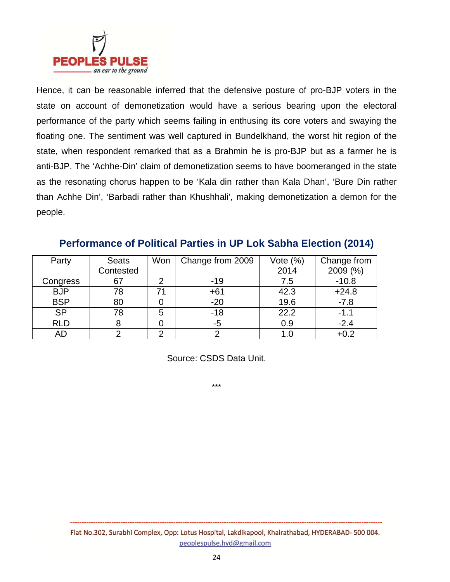

Hence, it can be reasonable inferred that the defensive posture of pro-BJP voters in the state on account of demonetization would have a serious bearing upon the electoral performance of the party which seems failing in enthusing its core voters and swaying the floating one. The sentiment was well captured in Bundelkhand, the worst hit region of the state, when respondent remarked that as a Brahmin he is pro-BJP but as a farmer he is anti-BJP. The 'Achhe-Din' claim of demonetization seems to have boomeranged in the state as the resonating chorus happen to be 'Kala din rather than Kala Dhan', 'Bure Din rather than Achhe Din', 'Barbadi rather than Khushhali', making demonetization a demon for the people.

| Party      | <b>Seats</b> | Won | Change from 2009 | Vote $(\%)$ | Change from |
|------------|--------------|-----|------------------|-------------|-------------|
|            | Contested    |     |                  | 2014        | 2009 (%)    |
| Congress   | 67           |     | $-19$            | 7.5         | $-10.8$     |
| <b>BJP</b> | 78           |     | $+61$            | 42.3        | $+24.8$     |
| <b>BSP</b> | 80           |     | $-20$            | 19.6        | $-7.8$      |
| <b>SP</b>  | 78           |     | $-18$            | 22.2        | $-1.1$      |
| <b>RLD</b> |              |     | -5               | 0.9         | $-2.4$      |
| AD         |              | ⌒   |                  |             | $+0.2$      |

#### **Performance of Political Parties in UP Lok Sabha Election (2014)**

Source: CSDS Data Unit.

\*\*\*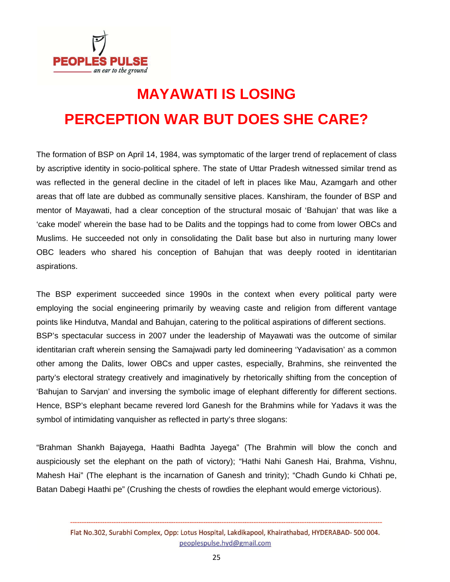

# **MAYAWATI IS LOSING PERCEPTION WAR BUT DOES SHE CARE?**

The formation of BSP on April 14, 1984, was symptomatic of the larger trend of replacement of class by ascriptive identity in socio-political sphere. The state of Uttar Pradesh witnessed similar trend as was reflected in the general decline in the citadel of left in places like Mau, Azamgarh and other areas that off late are dubbed as communally sensitive places. Kanshiram, the founder of BSP and mentor of Mayawati, had a clear conception of the structural mosaic of 'Bahujan' that was like a 'cake model' wherein the base had to be Dalits and the toppings had to come from lower OBCs and Muslims. He succeeded not only in consolidating the Dalit base but also in nurturing many lower OBC leaders who shared his conception of Bahujan that was deeply rooted in identitarian aspirations.

The BSP experiment succeeded since 1990s in the context when every political party were employing the social engineering primarily by weaving caste and religion from different vantage points like Hindutva, Mandal and Bahujan, catering to the political aspirations of different sections. BSP's spectacular success in 2007 under the leadership of Mayawati was the outcome of similar identitarian craft wherein sensing the Samajwadi party led domineering 'Yadavisation' as a common other among the Dalits, lower OBCs and upper castes, especially, Brahmins, she reinvented the party's electoral strategy creatively and imaginatively by rhetorically shifting from the conception of 'Bahujan to Sarvjan' and inversing the symbolic image of elephant differently for different sections. Hence, BSP's elephant became revered lord Ganesh for the Brahmins while for Yadavs it was the symbol of intimidating vanquisher as reflected in party's three slogans:

"Brahman Shankh Bajayega, Haathi Badhta Jayega" (The Brahmin will blow the conch and auspiciously set the elephant on the path of victory); "Hathi Nahi Ganesh Hai, Brahma, Vishnu, Mahesh Hai" (The elephant is the incarnation of Ganesh and trinity); "Chadh Gundo ki Chhati pe, Batan Dabegi Haathi pe" (Crushing the chests of rowdies the elephant would emerge victorious).

Flat No.302, Surabhi Complex, Opp: Lotus Hospital, Lakdikapool, Khairathabad, HYDERABAD-500 004. peoplespulse.hyd@gmail.com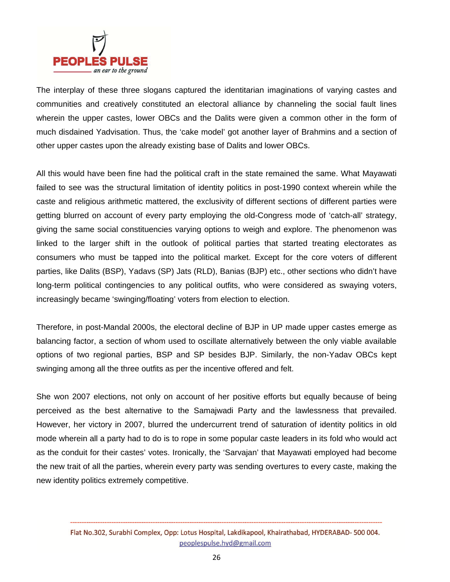

The interplay of these three slogans captured the identitarian imaginations of varying castes and communities and creatively constituted an electoral alliance by channeling the social fault lines wherein the upper castes, lower OBCs and the Dalits were given a common other in the form of much disdained Yadvisation. Thus, the 'cake model' got another layer of Brahmins and a section of other upper castes upon the already existing base of Dalits and lower OBCs.

All this would have been fine had the political craft in the state remained the same. What Mayawati failed to see was the structural limitation of identity politics in post-1990 context wherein while the caste and religious arithmetic mattered, the exclusivity of different sections of different parties were getting blurred on account of every party employing the old-Congress mode of 'catch-all' strategy, giving the same social constituencies varying options to weigh and explore. The phenomenon was linked to the larger shift in the outlook of political parties that started treating electorates as consumers who must be tapped into the political market. Except for the core voters of different parties, like Dalits (BSP), Yadavs (SP) Jats (RLD), Banias (BJP) etc., other sections who didn't have long-term political contingencies to any political outfits, who were considered as swaying voters, increasingly became 'swinging/floating' voters from election to election.

Therefore, in post-Mandal 2000s, the electoral decline of BJP in UP made upper castes emerge as balancing factor, a section of whom used to oscillate alternatively between the only viable available options of two regional parties, BSP and SP besides BJP. Similarly, the non-Yadav OBCs kept swinging among all the three outfits as per the incentive offered and felt.

She won 2007 elections, not only on account of her positive efforts but equally because of being perceived as the best alternative to the Samajwadi Party and the lawlessness that prevailed. However, her victory in 2007, blurred the undercurrent trend of saturation of identity politics in old mode wherein all a party had to do is to rope in some popular caste leaders in its fold who would act as the conduit for their castes' votes. Ironically, the 'Sarvajan' that Mayawati employed had become the new trait of all the parties, wherein every party was sending overtures to every caste, making the new identity politics extremely competitive.

Flat No.302, Surabhi Complex, Opp: Lotus Hospital, Lakdikapool, Khairathabad, HYDERABAD- 500 004. peoplespulse.hyd@gmail.com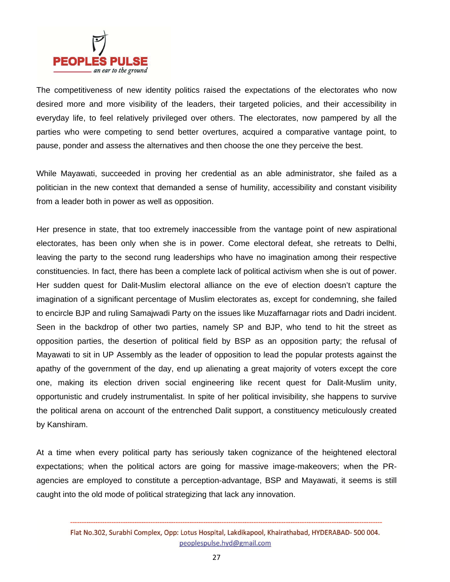

The competitiveness of new identity politics raised the expectations of the electorates who now desired more and more visibility of the leaders, their targeted policies, and their accessibility in everyday life, to feel relatively privileged over others. The electorates, now pampered by all the parties who were competing to send better overtures, acquired a comparative vantage point, to pause, ponder and assess the alternatives and then choose the one they perceive the best.

While Mayawati, succeeded in proving her credential as an able administrator, she failed as a politician in the new context that demanded a sense of humility, accessibility and constant visibility from a leader both in power as well as opposition.

Her presence in state, that too extremely inaccessible from the vantage point of new aspirational electorates, has been only when she is in power. Come electoral defeat, she retreats to Delhi, leaving the party to the second rung leaderships who have no imagination among their respective constituencies. In fact, there has been a complete lack of political activism when she is out of power. Her sudden quest for Dalit-Muslim electoral alliance on the eve of election doesn't capture the imagination of a significant percentage of Muslim electorates as, except for condemning, she failed to encircle BJP and ruling Samajwadi Party on the issues like Muzaffarnagar riots and Dadri incident. Seen in the backdrop of other two parties, namely SP and BJP, who tend to hit the street as opposition parties, the desertion of political field by BSP as an opposition party; the refusal of Mayawati to sit in UP Assembly as the leader of opposition to lead the popular protests against the apathy of the government of the day, end up alienating a great majority of voters except the core one, making its election driven social engineering like recent quest for Dalit-Muslim unity, opportunistic and crudely instrumentalist. In spite of her political invisibility, she happens to survive the political arena on account of the entrenched Dalit support, a constituency meticulously created by Kanshiram.

At a time when every political party has seriously taken cognizance of the heightened electoral expectations; when the political actors are going for massive image-makeovers; when the PRagencies are employed to constitute a perception-advantage, BSP and Mayawati, it seems is still caught into the old mode of political strategizing that lack any innovation.

Flat No.302, Surabhi Complex, Opp: Lotus Hospital, Lakdikapool, Khairathabad, HYDERABAD-500 004. peoplespulse.hyd@gmail.com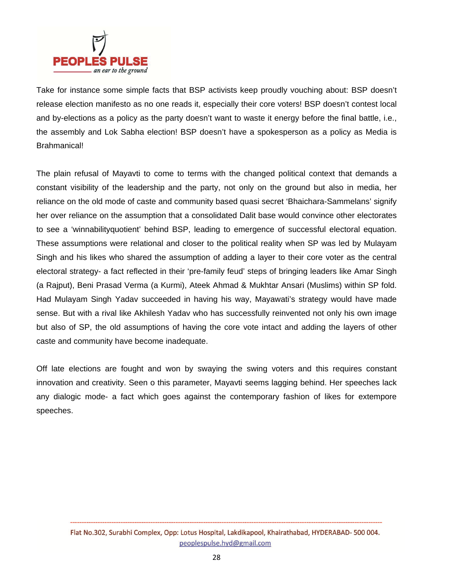

Take for instance some simple facts that BSP activists keep proudly vouching about: BSP doesn't release election manifesto as no one reads it, especially their core voters! BSP doesn't contest local and by-elections as a policy as the party doesn't want to waste it energy before the final battle, i.e., the assembly and Lok Sabha election! BSP doesn't have a spokesperson as a policy as Media is Brahmanical!

The plain refusal of Mayavti to come to terms with the changed political context that demands a constant visibility of the leadership and the party, not only on the ground but also in media, her reliance on the old mode of caste and community based quasi secret 'Bhaichara-Sammelans' signify her over reliance on the assumption that a consolidated Dalit base would convince other electorates to see a 'winnabilityquotient' behind BSP, leading to emergence of successful electoral equation. These assumptions were relational and closer to the political reality when SP was led by Mulayam Singh and his likes who shared the assumption of adding a layer to their core voter as the central electoral strategy- a fact reflected in their 'pre-family feud' steps of bringing leaders like Amar Singh (a Rajput), Beni Prasad Verma (a Kurmi), Ateek Ahmad & Mukhtar Ansari (Muslims) within SP fold. Had Mulayam Singh Yadav succeeded in having his way, Mayawati's strategy would have made sense. But with a rival like Akhilesh Yadav who has successfully reinvented not only his own image but also of SP, the old assumptions of having the core vote intact and adding the layers of other caste and community have become inadequate.

Off late elections are fought and won by swaying the swing voters and this requires constant innovation and creativity. Seen o this parameter, Mayavti seems lagging behind. Her speeches lack any dialogic mode- a fact which goes against the contemporary fashion of likes for extempore speeches.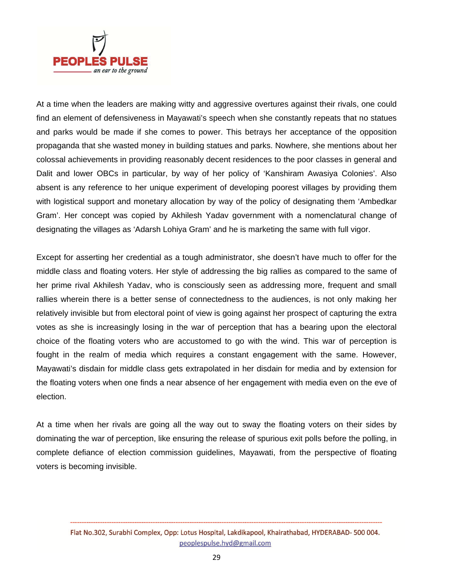

At a time when the leaders are making witty and aggressive overtures against their rivals, one could find an element of defensiveness in Mayawati's speech when she constantly repeats that no statues and parks would be made if she comes to power. This betrays her acceptance of the opposition propaganda that she wasted money in building statues and parks. Nowhere, she mentions about her colossal achievements in providing reasonably decent residences to the poor classes in general and Dalit and lower OBCs in particular, by way of her policy of 'Kanshiram Awasiya Colonies'. Also absent is any reference to her unique experiment of developing poorest villages by providing them with logistical support and monetary allocation by way of the policy of designating them 'Ambedkar Gram'. Her concept was copied by Akhilesh Yadav government with a nomenclatural change of designating the villages as 'Adarsh Lohiya Gram' and he is marketing the same with full vigor.

Except for asserting her credential as a tough administrator, she doesn't have much to offer for the middle class and floating voters. Her style of addressing the big rallies as compared to the same of her prime rival Akhilesh Yadav, who is consciously seen as addressing more, frequent and small rallies wherein there is a better sense of connectedness to the audiences, is not only making her relatively invisible but from electoral point of view is going against her prospect of capturing the extra votes as she is increasingly losing in the war of perception that has a bearing upon the electoral choice of the floating voters who are accustomed to go with the wind. This war of perception is fought in the realm of media which requires a constant engagement with the same. However, Mayawati's disdain for middle class gets extrapolated in her disdain for media and by extension for the floating voters when one finds a near absence of her engagement with media even on the eve of election.

At a time when her rivals are going all the way out to sway the floating voters on their sides by dominating the war of perception, like ensuring the release of spurious exit polls before the polling, in complete defiance of election commission guidelines, Mayawati, from the perspective of floating voters is becoming invisible.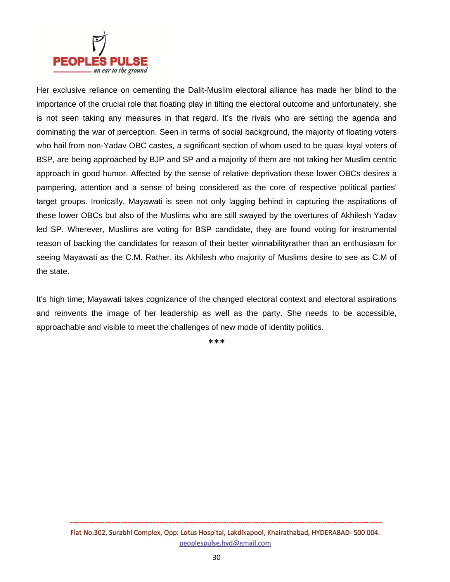

Her exclusive reliance on cementing the Dalit-Muslim electoral alliance has made her blind to the importance of the crucial role that floating play in tilting the electoral outcome and unfortunately, she is not seen taking any measures in that regard. It's the rivals who are setting the agenda and dominating the war of perception. Seen in terms of social background, the majority of floating voters who hail from non-Yadav OBC castes, a significant section of whom used to be quasi loyal voters of BSP, are being approached by BJP and SP and a majority of them are not taking her Muslim centric approach in good humor. Affected by the sense of relative deprivation these lower OBCs desires a pampering, attention and a sense of being considered as the core of respective political parties' target groups. Ironically, Mayawati is seen not only lagging behind in capturing the aspirations of these lower OBCs but also of the Muslims who are still swayed by the overtures of Akhilesh Yadav led SP. Wherever, Muslims are voting for BSP candidate, they are found voting for instrumental reason of backing the candidates for reason of their better winnabilityrather than an enthusiasm for seeing Mayawati as the C.M. Rather, its Akhilesh who majority of Muslims desire to see as C.M of the state.

It's high time; Mayawati takes cognizance of the changed electoral context and electoral aspirations and reinvents the image of her leadership as well as the party. She needs to be accessible, approachable and visible to meet the challenges of new mode of identity politics.

\*\*\*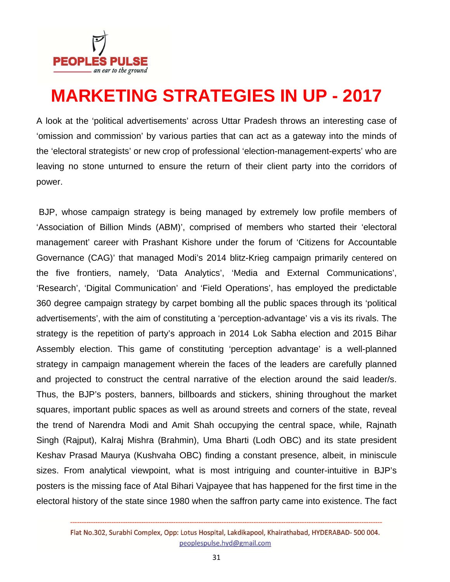

## **MARKETING STRATEGIES IN UP - 2017**

A look at the 'political advertisements' across Uttar Pradesh throws an interesting case of 'omission and commission' by various parties that can act as a gateway into the minds of the 'electoral strategists' or new crop of professional 'election-management-experts' who are leaving no stone unturned to ensure the return of their client party into the corridors of power.

 BJP, whose campaign strategy is being managed by extremely low profile members of 'Association of Billion Minds (ABM)', comprised of members who started their 'electoral management' career with Prashant Kishore under the forum of 'Citizens for Accountable Governance (CAG)' that managed Modi's 2014 blitz-Krieg campaign primarily centered on the five frontiers, namely, 'Data Analytics', 'Media and External Communications', 'Research', 'Digital Communication' and 'Field Operations', has employed the predictable 360 degree campaign strategy by carpet bombing all the public spaces through its 'political advertisements', with the aim of constituting a 'perception-advantage' vis a vis its rivals. The strategy is the repetition of party's approach in 2014 Lok Sabha election and 2015 Bihar Assembly election. This game of constituting 'perception advantage' is a well-planned strategy in campaign management wherein the faces of the leaders are carefully planned and projected to construct the central narrative of the election around the said leader/s. Thus, the BJP's posters, banners, billboards and stickers, shining throughout the market squares, important public spaces as well as around streets and corners of the state, reveal the trend of Narendra Modi and Amit Shah occupying the central space, while, Rajnath Singh (Rajput), Kalraj Mishra (Brahmin), Uma Bharti (Lodh OBC) and its state president Keshav Prasad Maurya (Kushvaha OBC) finding a constant presence, albeit, in miniscule sizes. From analytical viewpoint, what is most intriguing and counter-intuitive in BJP's posters is the missing face of Atal Bihari Vajpayee that has happened for the first time in the electoral history of the state since 1980 when the saffron party came into existence. The fact

Flat No.302, Surabhi Complex, Opp: Lotus Hospital, Lakdikapool, Khairathabad, HYDERABAD-500 004. peoplespulse.hyd@gmail.com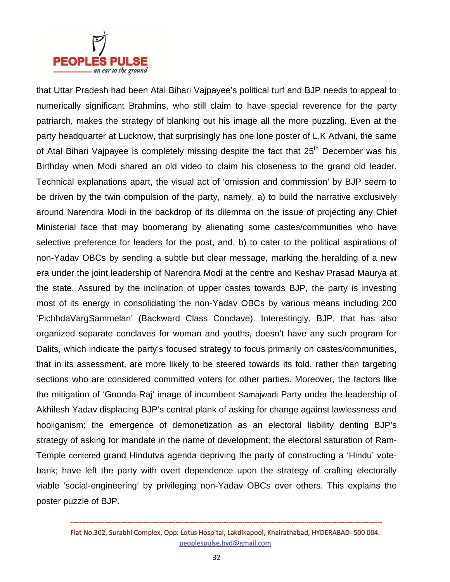

that Uttar Pradesh had been Atal Bihari Vajpayee's political turf and BJP needs to appeal to numerically significant Brahmins, who still claim to have special reverence for the party patriarch, makes the strategy of blanking out his image all the more puzzling. Even at the party headquarter at Lucknow, that surprisingly has one lone poster of L.K Advani, the same of Atal Bihari Vajpayee is completely missing despite the fact that  $25<sup>th</sup>$  December was his Birthday when Modi shared an old video to claim his closeness to the grand old leader. Technical explanations apart, the visual act of 'omission and commission' by BJP seem to be driven by the twin compulsion of the party, namely, a) to build the narrative exclusively around Narendra Modi in the backdrop of its dilemma on the issue of projecting any Chief Ministerial face that may boomerang by alienating some castes/communities who have selective preference for leaders for the post, and, b) to cater to the political aspirations of non-Yadav OBCs by sending a subtle but clear message, marking the heralding of a new era under the joint leadership of Narendra Modi at the centre and Keshav Prasad Maurya at the state. Assured by the inclination of upper castes towards BJP, the party is investing most of its energy in consolidating the non-Yadav OBCs by various means including 200 'PichhdaVargSammelan' (Backward Class Conclave). Interestingly, BJP, that has also organized separate conclaves for woman and youths, doesn't have any such program for Dalits, which indicate the party's focused strategy to focus primarily on castes/communities, that in its assessment, are more likely to be steered towards its fold, rather than targeting sections who are considered committed voters for other parties. Moreover, the factors like the mitigation of 'Goonda-Raj' image of incumbent Samajwadi Party under the leadership of Akhilesh Yadav displacing BJP's central plank of asking for change against lawlessness and hooliganism; the emergence of demonetization as an electoral liability denting BJP's strategy of asking for mandate in the name of development; the electoral saturation of Ram-Temple centered grand Hindutva agenda depriving the party of constructing a 'Hindu' votebank; have left the party with overt dependence upon the strategy of crafting electorally viable 'social-engineering' by privileging non-Yadav OBCs over others. This explains the poster puzzle of BJP.

Flat No.302, Surabhi Complex, Opp: Lotus Hospital, Lakdikapool, Khairathabad, HYDERABAD-500 004. peoplespulse.hyd@gmail.com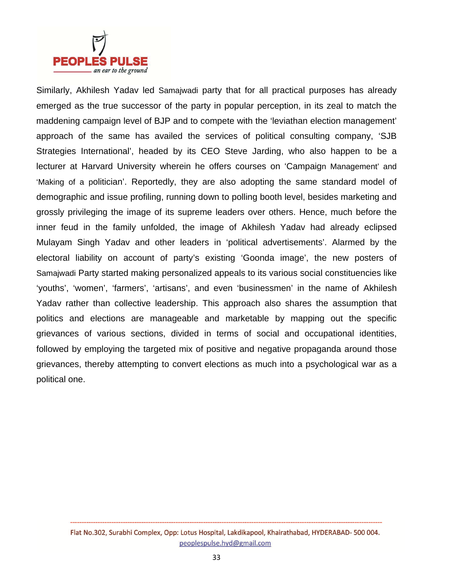

Similarly, Akhilesh Yadav led Samajwadi party that for all practical purposes has already emerged as the true successor of the party in popular perception, in its zeal to match the maddening campaign level of BJP and to compete with the 'leviathan election management' approach of the same has availed the services of political consulting company, 'SJB Strategies International', headed by its CEO Steve Jarding, who also happen to be a lecturer at Harvard University wherein he offers courses on 'Campaign Management' and 'Making of a politician'. Reportedly, they are also adopting the same standard model of demographic and issue profiling, running down to polling booth level, besides marketing and grossly privileging the image of its supreme leaders over others. Hence, much before the inner feud in the family unfolded, the image of Akhilesh Yadav had already eclipsed Mulayam Singh Yadav and other leaders in 'political advertisements'. Alarmed by the electoral liability on account of party's existing 'Goonda image', the new posters of Samajwadi Party started making personalized appeals to its various social constituencies like 'youths', 'women', 'farmers', 'artisans', and even 'businessmen' in the name of Akhilesh Yadav rather than collective leadership. This approach also shares the assumption that politics and elections are manageable and marketable by mapping out the specific grievances of various sections, divided in terms of social and occupational identities, followed by employing the targeted mix of positive and negative propaganda around those grievances, thereby attempting to convert elections as much into a psychological war as a political one.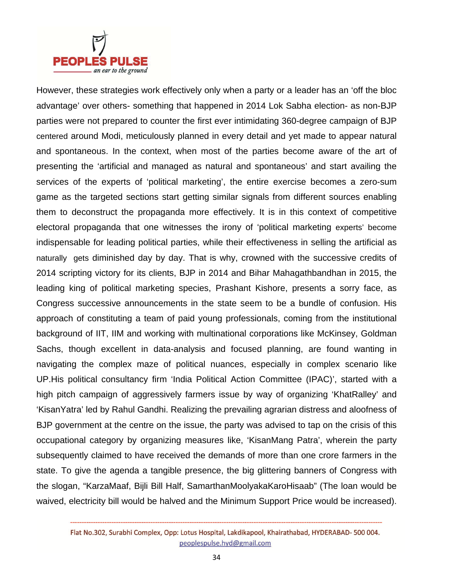

However, these strategies work effectively only when a party or a leader has an 'off the bloc advantage' over others- something that happened in 2014 Lok Sabha election- as non-BJP parties were not prepared to counter the first ever intimidating 360-degree campaign of BJP centered around Modi, meticulously planned in every detail and yet made to appear natural and spontaneous. In the context, when most of the parties become aware of the art of presenting the 'artificial and managed as natural and spontaneous' and start availing the services of the experts of 'political marketing', the entire exercise becomes a zero-sum game as the targeted sections start getting similar signals from different sources enabling them to deconstruct the propaganda more effectively. It is in this context of competitive electoral propaganda that one witnesses the irony of 'political marketing experts' become indispensable for leading political parties, while their effectiveness in selling the artificial as naturally gets diminished day by day. That is why, crowned with the successive credits of 2014 scripting victory for its clients, BJP in 2014 and Bihar Mahagathbandhan in 2015, the leading king of political marketing species, Prashant Kishore, presents a sorry face, as Congress successive announcements in the state seem to be a bundle of confusion. His approach of constituting a team of paid young professionals, coming from the institutional background of IIT, IIM and working with multinational corporations like McKinsey, Goldman Sachs, though excellent in data-analysis and focused planning, are found wanting in navigating the complex maze of political nuances, especially in complex scenario like UP.His political consultancy firm 'India Political Action Committee (IPAC)', started with a high pitch campaign of aggressively farmers issue by way of organizing 'KhatRalley' and 'KisanYatra' led by Rahul Gandhi. Realizing the prevailing agrarian distress and aloofness of BJP government at the centre on the issue, the party was advised to tap on the crisis of this occupational category by organizing measures like, 'KisanMang Patra', wherein the party subsequently claimed to have received the demands of more than one crore farmers in the state. To give the agenda a tangible presence, the big glittering banners of Congress with the slogan, "KarzaMaaf, Bijli Bill Half, SamarthanMoolyakaKaroHisaab" (The loan would be waived, electricity bill would be halved and the Minimum Support Price would be increased).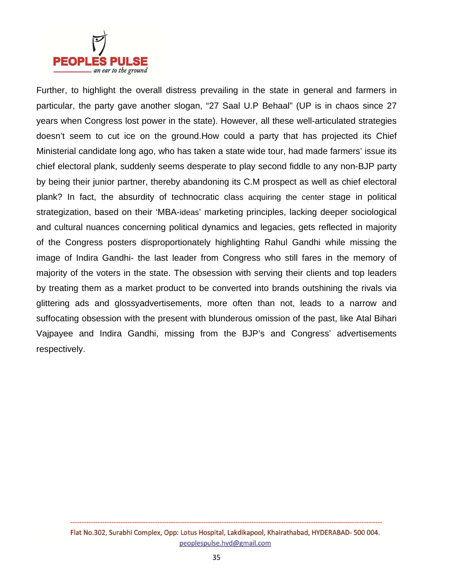

Further, to highlight the overall distress prevailing in the state in general and farmers in particular, the party gave another slogan, "27 Saal U.P Behaal" (UP is in chaos since 27 years when Congress lost power in the state). However, all these well-articulated strategies doesn't seem to cut ice on the ground.How could a party that has projected its Chief Ministerial candidate long ago, who has taken a state wide tour, had made farmers' issue its chief electoral plank, suddenly seems desperate to play second fiddle to any non-BJP party by being their junior partner, thereby abandoning its C.M prospect as well as chief electoral plank? In fact, the absurdity of technocratic class acquiring the center stage in political strategization, based on their 'MBA-ideas' marketing principles, lacking deeper sociological and cultural nuances concerning political dynamics and legacies, gets reflected in majority of the Congress posters disproportionately highlighting Rahul Gandhi while missing the image of Indira Gandhi- the last leader from Congress who still fares in the memory of majority of the voters in the state. The obsession with serving their clients and top leaders by treating them as a market product to be converted into brands outshining the rivals via glittering ads and glossyadvertisements, more often than not, leads to a narrow and suffocating obsession with the present with blunderous omission of the past, like Atal Bihari Vajpayee and Indira Gandhi, missing from the BJP's and Congress' advertisements respectively.